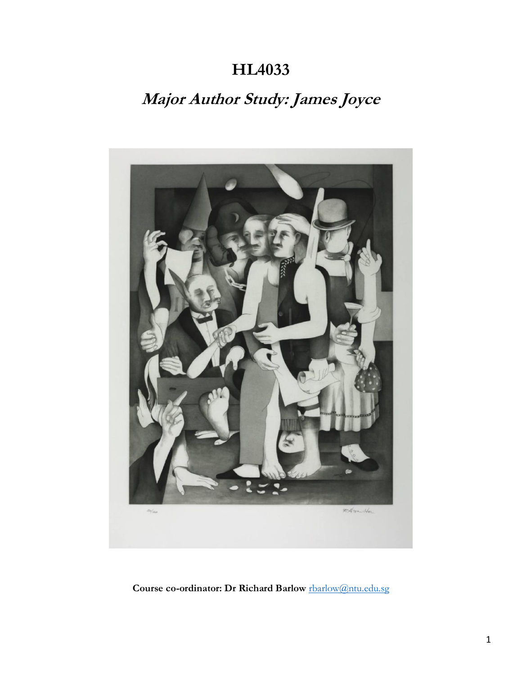## **HL4033**

# **Major Author Study: James Joyce**



**Course co-ordinator: Dr Richard Barlow** [rbarlow@ntu.edu.sg](mailto:rbarlow@ntu.edu.sg)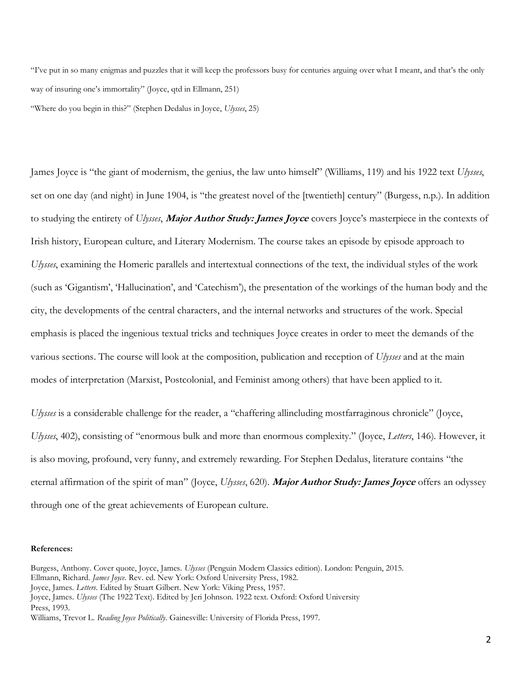"I've put in so many enigmas and puzzles that it will keep the professors busy for centuries arguing over what I meant, and that's the only way of insuring one's immortality" (Joyce, qtd in Ellmann, 251) "Where do you begin in this?" (Stephen Dedalus in Joyce, *Ulysses*, 25)

James Joyce is "the giant of modernism, the genius, the law unto himself" (Williams, 119) and his 1922 text *Ulysses*, set on one day (and night) in June 1904, is "the greatest novel of the [twentieth] century" (Burgess, n.p.). In addition to studying the entirety of *Ulysses*, **Major Author Study: James Joyce** covers Joyce's masterpiece in the contexts of Irish history, European culture, and Literary Modernism. The course takes an episode by episode approach to *Ulysses*, examining the Homeric parallels and intertextual connections of the text, the individual styles of the work (such as 'Gigantism', 'Hallucination', and 'Catechism'), the presentation of the workings of the human body and the city, the developments of the central characters, and the internal networks and structures of the work. Special emphasis is placed the ingenious textual tricks and techniques Joyce creates in order to meet the demands of the various sections. The course will look at the composition, publication and reception of *Ulysses* and at the main modes of interpretation (Marxist, Postcolonial, and Feminist among others) that have been applied to it.

*Ulysses* is a considerable challenge for the reader, a "chaffering allincluding mostfarraginous chronicle" (Joyce, *Ulysses*, 402), consisting of "enormous bulk and more than enormous complexity." (Joyce, *Letters*, 146). However, it is also moving, profound, very funny, and extremely rewarding. For Stephen Dedalus, literature contains "the eternal affirmation of the spirit of man" (Joyce, *Ulysses*, 620). **Major Author Study: James Joyce** offers an odyssey through one of the great achievements of European culture.

#### **References:**

Burgess, Anthony. Cover quote, Joyce, James. *Ulysses* (Penguin Modern Classics edition). London: Penguin, 2015. Ellmann, Richard. *James Joyce.* Rev. ed. New York: Oxford University Press, 1982. Joyce, James. *Letters*. Edited by Stuart Gilbert. New York: Viking Press, 1957. Joyce, James. *Ulysses* (The 1922 Text). Edited by Jeri Johnson. 1922 text. Oxford: Oxford University Press, 1993.

Williams, Trevor L. *Reading Joyce Politically*. Gainesville: University of Florida Press, 1997.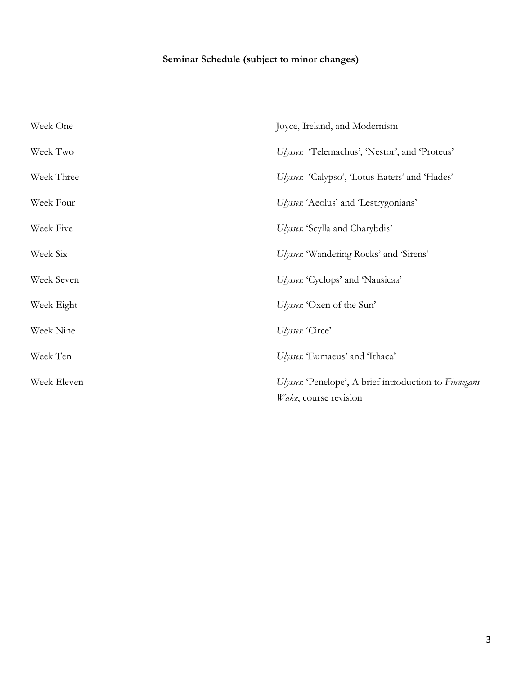## **Seminar Schedule (subject to minor changes)**

| Week One    | Joyce, Ireland, and Modernism                                                   |
|-------------|---------------------------------------------------------------------------------|
| Week Two    | Ulysses: 'Telemachus', 'Nestor', and 'Proteus'                                  |
| Week Three  | Ulysses: 'Calypso', 'Lotus Eaters' and 'Hades'                                  |
| Week Four   | Ulysses: 'Aeolus' and 'Lestrygonians'                                           |
| Week Five   | Ulysses: 'Scylla and Charybdis'                                                 |
| Week Six    | Ulysses: 'Wandering Rocks' and 'Sirens'                                         |
| Week Seven  | Ulysses: 'Cyclops' and 'Nausicaa'                                               |
| Week Eight  | Ulysses: 'Oxen of the Sun'                                                      |
| Week Nine   | Ulysses: 'Circe'                                                                |
| Week Ten    | Ulysses: 'Eumaeus' and 'Ithaca'                                                 |
| Week Eleven | Ulysses: 'Penelope', A brief introduction to Finnegans<br>Wake, course revision |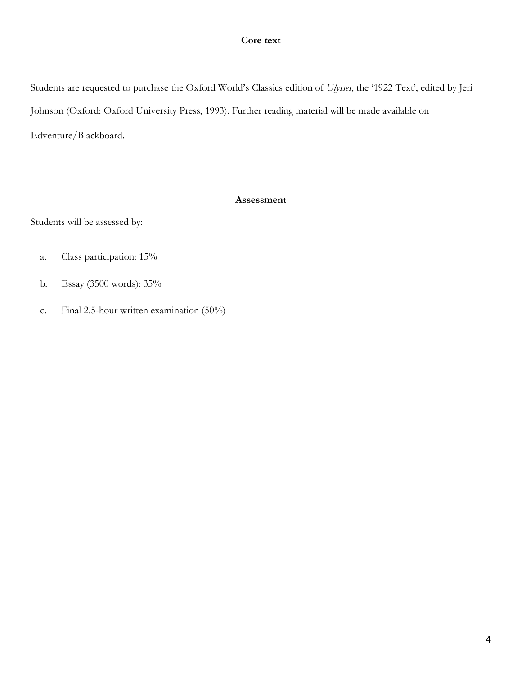### **Core text**

Students are requested to purchase the Oxford World's Classics edition of *Ulysses*, the '1922 Text', edited by Jeri Johnson (Oxford: Oxford University Press, 1993). Further reading material will be made available on Edventure/Blackboard.

### **Assessment**

Students will be assessed by:

- a. Class participation: 15%
- b. Essay (3500 words): 35%
- c. Final 2.5-hour written examination (50%)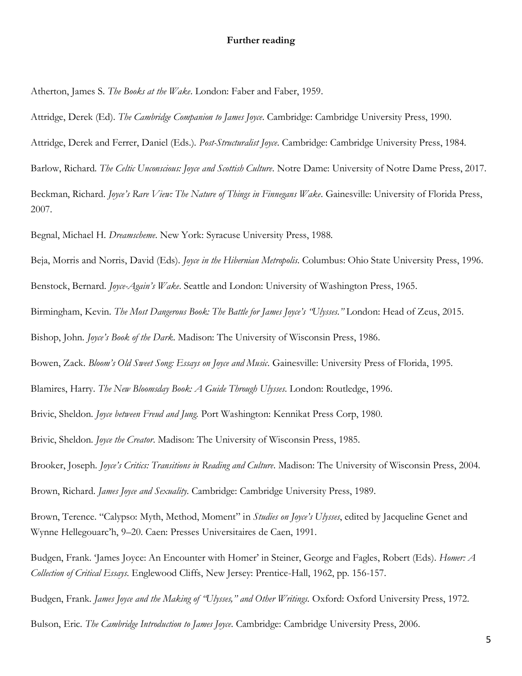#### **Further reading**

Atherton, James S. *The Books at the Wake*. London: Faber and Faber, 1959.

Attridge, Derek (Ed). *The Cambridge Companion to James Joyce*. Cambridge: Cambridge University Press, 1990.

Attridge, Derek and Ferrer, Daniel (Eds.). *Post-Structuralist Joyce*. Cambridge: Cambridge University Press, 1984.

Barlow, Richard. *The Celtic Unconscious: Joyce and Scottish Culture*. Notre Dame: University of Notre Dame Press, 2017.

Beckman, Richard. *Joyce's Rare View: The Nature of Things in Finnegans Wake*. Gainesville: University of Florida Press, 2007.

Begnal, Michael H. *Dreamscheme*. New York: Syracuse University Press, 1988.

Beja, Morris and Norris, David (Eds). *Joyce in the Hibernian Metropolis*. Columbus: Ohio State University Press, 1996.

Benstock, Bernard. *Joyce-Again's Wake*. Seattle and London: University of Washington Press, 1965.

Birmingham, Kevin. *The Most Dangerous Book: The Battle for James Joyce's "Ulysses*.*"* London: Head of Zeus, 2015.

Bishop, John. *Joyce's Book of the Dark*. Madison: The University of Wisconsin Press, 1986.

Bowen, Zack. *Bloom's Old Sweet Song: Essays on Joyce and Music*. Gainesville: University Press of Florida, 1995.

Blamires, Harry. *The New Bloomsday Book: A Guide Through Ulysses*. London: Routledge, 1996.

Brivic, Sheldon. *Joyce between Freud and Jung.* Port Washington: Kennikat Press Corp, 1980.

Brivic, Sheldon. *Joyce the Creator*. Madison: The University of Wisconsin Press, 1985.

Brooker, Joseph. *Joyce's Critics: Transitions in Reading and Culture*. Madison: The University of Wisconsin Press, 2004.

Brown, Richard. *James Joyce and Sexuality*. Cambridge: Cambridge University Press, 1989.

Brown, Terence. "Calypso: Myth, Method, Moment" in *Studies on Joyce's Ulysses*, edited by Jacqueline Genet and Wynne Hellegouarc'h, 9–20. Caen: Presses Universitaires de Caen, 1991.

Budgen, Frank. 'James Joyce: An Encounter with Homer' in Steiner, George and Fagles, Robert (Eds). *Homer: A Collection of Critical Essays*. Englewood Cliffs, New Jersey: Prentice-Hall, 1962, pp. 156-157.

Budgen, Frank. *James Joyce and the Making of "Ulysses," and Other Writings*. Oxford: Oxford University Press, 1972.

Bulson, Eric. *The Cambridge Introduction to James Joyce*. Cambridge: Cambridge University Press, 2006.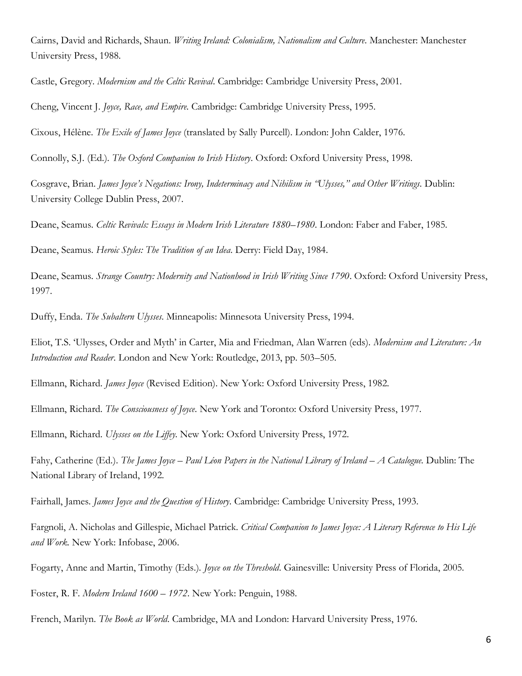Cairns, David and Richards, Shaun. *Writing Ireland: Colonialism, Nationalism and Culture*. Manchester: Manchester University Press, 1988.

Castle, Gregory. *Modernism and the Celtic Revival*. Cambridge: Cambridge University Press, 2001.

Cheng, Vincent J. *Joyce, Race, and Empire*. Cambridge: Cambridge University Press, 1995.

Cixous, Hélène. *The Exile of James Joyce* (translated by Sally Purcell). London: John Calder, 1976.

Connolly, S.J. (Ed.). *The Oxford Companion to Irish History*. Oxford: Oxford University Press, 1998.

Cosgrave, Brian. *James Joyce's Negations: Irony, Indeterminacy and Nihilism in "Ulysses," and Other Writings*. Dublin: University College Dublin Press, 2007.

Deane, Seamus. *Celtic Revivals: Essays in Modern Irish Literature 1880–1980*. London: Faber and Faber, 1985.

Deane, Seamus. *Heroic Styles: The Tradition of an Idea*. Derry: Field Day, 1984.

Deane, Seamus. *Strange Country: Modernity and Nationhood in Irish Writing Since 1790*. Oxford: Oxford University Press, 1997.

Duffy, Enda. *The Subaltern Ulysses*. Minneapolis: Minnesota University Press, 1994.

Eliot, T.S. 'Ulysses, Order and Myth' in Carter, Mia and Friedman, Alan Warren (eds). *Modernism and Literature: An Introduction and Reader*. London and New York: Routledge, 2013, pp. 503–505.

Ellmann, Richard. *James Joyce* (Revised Edition). New York: Oxford University Press, 1982.

Ellmann, Richard. *The Consciousness of Joyce*. New York and Toronto: Oxford University Press, 1977.

Ellmann, Richard. *Ulysses on the Liffey*. New York: Oxford University Press, 1972.

Fahy, Catherine (Ed.). *The James Joyce – Paul Léon Papers in the National Library of Ireland – A Catalogue*. Dublin: The National Library of Ireland, 1992.

Fairhall, James. *James Joyce and the Question of History*. Cambridge: Cambridge University Press, 1993.

Fargnoli, A. Nicholas and Gillespie, Michael Patrick. *Critical Companion to James Joyce: A Literary Reference to His Life and Work*. New York: Infobase, 2006.

Fogarty, Anne and Martin, Timothy (Eds.)*. Joyce on the Threshold*. Gainesville: University Press of Florida, 2005.

Foster, R. F. *Modern Ireland 1600* – *1972*. New York: Penguin, 1988.

French, Marilyn. *The Book as World*. Cambridge, MA and London: Harvard University Press, 1976.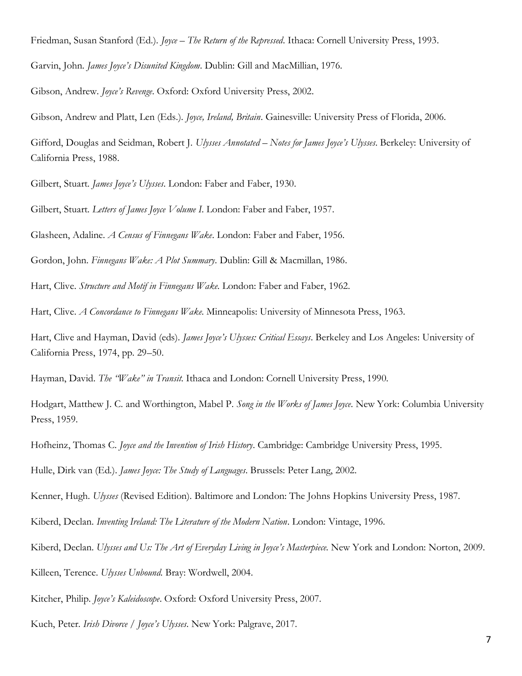Friedman, Susan Stanford (Ed.). *Joyce – The Return of the Repressed*. Ithaca: Cornell University Press, 1993.

Garvin, John. *James Joyce's Disunited Kingdom*. Dublin: Gill and MacMillian, 1976.

Gibson, Andrew. *Joyce's Revenge*. Oxford: Oxford University Press, 2002.

Gibson, Andrew and Platt, Len (Eds.). *Joyce, Ireland, Britain*. Gainesville: University Press of Florida, 2006.

Gifford, Douglas and Seidman, Robert J. *Ulysses Annotated – Notes for James Joyce's Ulysses*. Berkeley: University of California Press, 1988.

Gilbert, Stuart. *James Joyce's Ulysses*. London: Faber and Faber, 1930.

Gilbert, Stuart. *Letters of James Joyce Volume I*. London: Faber and Faber, 1957.

Glasheen, Adaline. *A Census of Finnegans Wake*. London: Faber and Faber, 1956.

Gordon, John. *Finnegans Wake: A Plot Summary*. Dublin: Gill & Macmillan, 1986.

Hart, Clive. *Structure and Motif in Finnegans Wake*. London: Faber and Faber, 1962.

Hart, Clive. *A Concordance to Finnegans Wake*. Minneapolis: University of Minnesota Press, 1963.

Hart, Clive and Hayman, David (eds). *James Joyce's Ulysses: Critical Essays*. Berkeley and Los Angeles: University of California Press, 1974, pp. 29–50.

Hayman, David. *The "Wake" in Transit*. Ithaca and London: Cornell University Press, 1990.

Hodgart, Matthew J. C. and Worthington, Mabel P. *Song in the Works of James Joyce*. New York: Columbia University Press, 1959.

Hofheinz, Thomas C. *Joyce and the Invention of Irish History*. Cambridge: Cambridge University Press, 1995.

Hulle, Dirk van (Ed.). *James Joyce: The Study of Languages*. Brussels: Peter Lang, 2002.

Kenner, Hugh. *Ulysses* (Revised Edition). Baltimore and London: The Johns Hopkins University Press, 1987.

Kiberd, Declan. *Inventing Ireland: The Literature of the Modern Nation*. London: Vintage, 1996.

Kiberd, Declan. *Ulysses and Us: The Art of Everyday Living in Joyce's Masterpiece*. New York and London: Norton, 2009.

Killeen, Terence. *Ulysses Unbound*. Bray: Wordwell, 2004.

Kitcher, Philip. *Joyce's Kaleidoscope*. Oxford: Oxford University Press, 2007.

Kuch, Peter. *Irish Divorce / Joyce's Ulysses*. New York: Palgrave, 2017.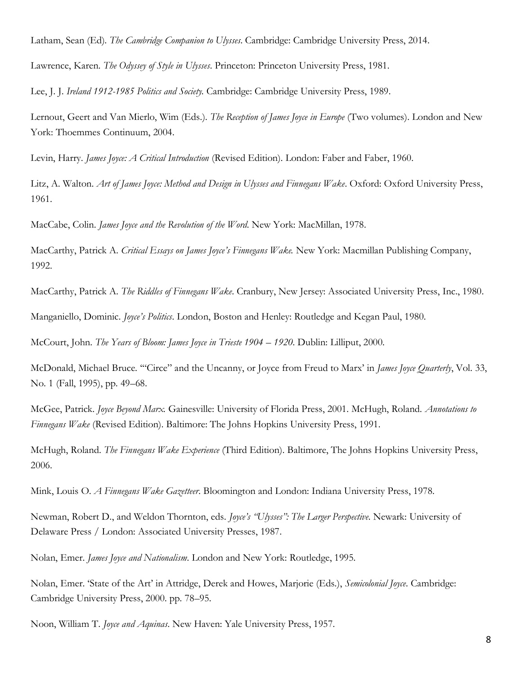Latham, Sean (Ed). *The Cambridge Companion to Ulysses*. Cambridge: Cambridge University Press, 2014.

Lawrence, Karen. *The Odyssey of Style in Ulysses*. Princeton: Princeton University Press, 1981.

Lee, J. J. *Ireland 1912-1985 Politics and Society.* Cambridge: Cambridge University Press, 1989.

Lernout, Geert and Van Mierlo, Wim (Eds.). *The Reception of James Joyce in Europe* (Two volumes). London and New York: Thoemmes Continuum, 2004.

Levin, Harry. *James Joyce: A Critical Introduction* (Revised Edition). London: Faber and Faber, 1960.

Litz, A. Walton. *Art of James Joyce: Method and Design in Ulysses and Finnegans Wake*. Oxford: Oxford University Press, 1961.

MacCabe, Colin. *James Joyce and the Revolution of the Word*. New York: MacMillan, 1978.

MacCarthy, Patrick A. *Critical Essays on James Joyce's Finnegans Wake.* New York: Macmillan Publishing Company, 1992.

MacCarthy, Patrick A. *The Riddles of Finnegans Wake*. Cranbury, New Jersey: Associated University Press, Inc., 1980.

Manganiello, Dominic. *Joyce's Politics*. London, Boston and Henley: Routledge and Kegan Paul, 1980.

McCourt, John. *The Years of Bloom: James Joyce in Trieste 1904 – 1920*. Dublin: Lilliput, 2000.

McDonald, Michael Bruce. '"Circe" and the Uncanny, or Joyce from Freud to Marx' in *James Joyce Quarterly*, Vol. 33, No. 1 (Fall, 1995), pp. 49–68.

McGee, Patrick. *Joyce Beyond Marx.* Gainesville: University of Florida Press, 2001. McHugh, Roland. *Annotations to Finnegans Wake* (Revised Edition). Baltimore: The Johns Hopkins University Press, 1991.

McHugh, Roland. *The Finnegans Wake Experience* (Third Edition). Baltimore, The Johns Hopkins University Press, 2006.

Mink, Louis O. *A Finnegans Wake Gazetteer*. Bloomington and London: Indiana University Press, 1978.

Newman, Robert D., and Weldon Thornton, eds. *Joyce's "Ulysses": The Larger Perspective*. Newark: University of Delaware Press / London: Associated University Presses, 1987.

Nolan, Emer. *James Joyce and Nationalism*. London and New York: Routledge, 1995.

Nolan, Emer. 'State of the Art' in Attridge, Derek and Howes, Marjorie (Eds.), *Semicolonial Joyce*. Cambridge: Cambridge University Press, 2000. pp. 78–95.

Noon, William T. *Joyce and Aquinas*. New Haven: Yale University Press, 1957.